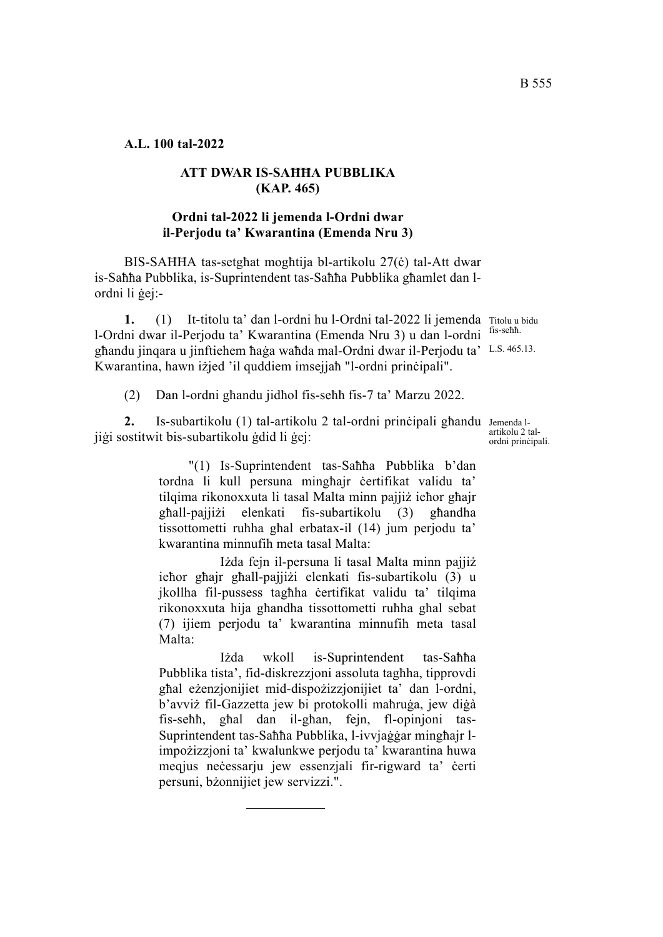**A.L. 100 tal-2022**

# **ATT DWAR IS-SAĦĦA PUBBLIKA (KAP. 465)**

# **Ordni tal-2022 li jemenda l-Ordni dwar il-Perjodu ta' Kwarantina (Emenda Nru 3)**

BIS-SAĦĦA tas-setgħat mogħtija bl-artikolu 27(ċ) tal-Att dwar is-Saħħa Pubblika, is-Suprintendent tas-Saħħa Pubblika għamlet dan lordni li ġej:-

1. (1) It-titolu ta' dan l-ordni hu l-Ordni tal-2022 li jemenda Titolu u bidu ghandu jinqara u jinftiehem haġa waħda mal-Ordni dwar il-Perjodu ta' L.S. 465.13. l-Ordni dwar il-Perjodu ta' Kwarantina (Emenda Nru 3) u dan l-ordni Kwarantina, hawn iżjed 'il quddiem imsejjaħ "l-ordni prinċipali".

fis-seħħ.

(2) Dan l-ordni għandu jidħol fis-seħħ fis-7 ta' Marzu 2022.

2. Is-subartikolu (1) tal-artikolu 2 tal-ordni prinċipali għandu Jemenda ljiġi sostitwit bis-subartikolu ġdid li ġej:

> "(1) Is-Suprintendent tas-Saħħa Pubblika b'dan tordna li kull persuna mingħajr ċertifikat validu ta' tilqima rikonoxxuta li tasal Malta minn pajjiż ieħor għajr għall-pajjiżi elenkati fis-subartikolu (3) għandha tissottometti ruħha għal erbatax-il (14) jum perjodu ta' kwarantina minnufih meta tasal Malta:

> Iżda fejn il-persuna li tasal Malta minn pajjiż ieħor għajr għall-pajjiżi elenkati fis-subartikolu (3) u jkollha fil-pussess tagħha ċertifikat validu ta' tilqima rikonoxxuta hija għandha tissottometti ruħha għal sebat (7) ijiem perjodu ta' kwarantina minnufih meta tasal Malta:

> Iżda wkoll is-Suprintendent tas-Saħħa Pubblika tista', fid-diskrezzjoni assoluta tagħha, tipprovdi għal eżenzjonijiet mid-dispożizzjonijiet ta' dan l-ordni, b'avviż fil-Gazzetta jew bi protokolli maħruġa, jew diġà fis-seħħ, għal dan il-għan, fejn, fl-opinjoni tas-Suprintendent tas-Saħħa Pubblika, l-ivvjaġġar mingħajr limpożizzjoni ta' kwalunkwe perjodu ta' kwarantina huwa meqjus neċessarju jew essenzjali fir-rigward ta' ċerti persuni, bżonnijiet jew servizzi.".

artikolu 2 talordni prinċipali.